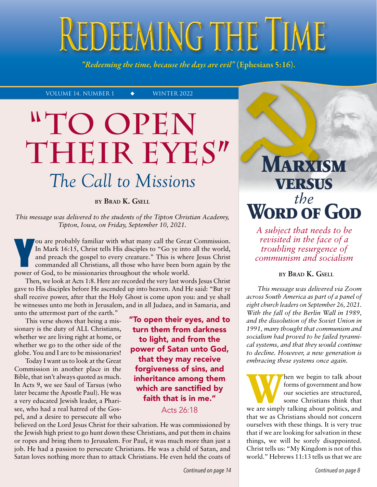# REDEEMING THE TIME

*"Redeeming the time, because the days are evil"* (Ephesians 5:16).

VOLUME 14, NUMBER 1  $\leftrightarrow$  WINTER 2022

# **To Open "** THEIR EYES" *The Call to Missions*

**by Brad K. Gsell**

*This message was delivered to the students of the Tipton Christian Academy, Tipton, Iowa, on Friday, September 10, 2021.*

ou are probably familiar with what many call the Grea<br>In Mark 16:15, Christ tells His disciples to "Go ye into<br>and preach the gospel to every creature." This is when<br>commanded all Christians, all those who have been bor<br>po ou are probably familiar with what many call the Great Commission. In Mark 16:15, Christ tells His disciples to "Go ye into all the world, and preach the gospel to every creature." This is where Jesus Christ commanded all Christians, all those who have been born again by the

Then, we look at Acts 1:8. Here are recorded the very last words Jesus Christ gave to His disciples before He ascended up into heaven. And He said: "But ye shall receive power, after that the Holy Ghost is come upon you: and ye shall be witnesses unto me both in Jerusalem, and in all Judaea, and in Samaria, and unto the uttermost part of the earth."

This verse shows that being a missionary is the duty of ALL Christians, whether we are living right at home, or whether we go to the other side of the globe. You and I are to be missionaries!

Today I want us to look at the Great Commission in another place in the Bible, that isn't always quoted as much. In Acts 9, we see Saul of Tarsus (who later became the Apostle Paul). He was a very educated Jewish leader, a Pharisee, who had a real hatred of the Gospel, and a desire to persecute all who "To open their eyes, and to turn them from darkness to light, and from the power of Satan unto God, that they may receive forgiveness of sins, and inheritance among them which are sanctified by faith that is in me."

Acts 26:18

believed on the Lord Jesus Christ for their salvation. He was commissioned by the Jewish high priest to go hunt down these Christians, and put them in chains or ropes and bring them to Jerusalem. For Paul, it was much more than just a job. He had a passion to persecute Christians. He was a child of Satan, and Satan loves nothing more than to attack Christians. He even held the coats of

**Marxism versus WORD OF GOD** 

*A subject that needs to be revisited in the face of a troubling resurgence of communism and socialism*

# **by Brad K. Gsell**

*This message was delivered via Zoom across South America as part of a panel of eight church leaders on September 26, 2021. With the fall of the Berlin Wall in 1989, and the dissolution of the Soviet Union in 1991, many thought that communism and socialism had proved to be failed tyrannical systems, and that they would continue to decline. However, a new generation is embracing these systems once again.*

**WEDE THEORY WE ARE SET AND MOVE THEORY OF SOME ARE SHOW OUT SOCIETIES ARE SHOWED SOME CONTROLLER THE SAME WAS NOT STAND WE ALLOW THE SAME WE ARE SHOWED A WAS NOT SET AND NOT SHOW IN THE SAME OF SHOW THAT A WE ARE SHOWED S** forms of government and how our societies are structured, some Christians think that that we as Christians should not concern ourselves with these things. It is very true that if we are looking for salvation in these things, we will be sorely disappointed. Christ tells us: "My Kingdom is not of this world." Hebrews 11:13 tells us that we are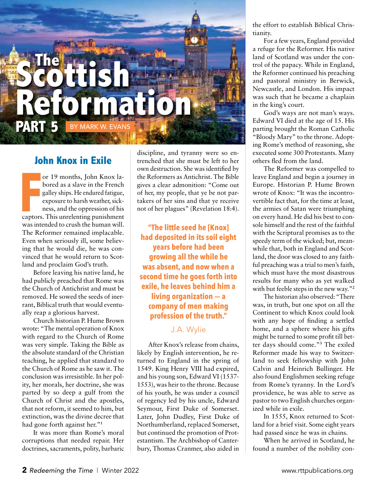

# **John Knox in Exile**

or 19 months, John Knox labored as a slave in the French galley ships. He endured fatigue, exposure to harsh weather, sickness, and the oppression of his or 19 months, John Knox labored as a slave in the French galley ships. He endured fatigue, exposure to harsh weather, sickness, and the oppression of his captors. This unrelenting punishment was intended to crush the human will. The Reformer remained implacable. Even when seriously ill, some believing that he would die, he was convinced that he would return to Scotland and proclaim God's truth.

Before leaving his native land, he had publicly preached that Rome was the Church of Antichrist and must be removed. He sowed the seeds of inerrant, Biblical truth that would eventually reap a glorious harvest.

Church historian P. Hume Brown wrote: "The mental operation of Knox with regard to the Church of Rome was very simple. Taking the Bible as the absolute standard of the Christian teaching, he applied that standard to the Church of Rome as he saw it. The conclusion was irresistible. In her polity, her morals, her doctrine, she was parted by so deep a gulf from the Church of Christ and the apostles, that not reform, it seemed to him, but extinction, was the divine decree that had gone forth against her."**<sup>1</sup>**

It was more than Rome's moral corruptions that needed repair. Her doctrines, sacraments, polity, barbaric discipline, and tyranny were so entrenched that she must be left to her own destruction. She was identified by the Reformers as Antichrist. The Bible gives a clear admonition: "Come out of her, my people, that ye be not partakers of her sins and that ye receive not of her plagues" (Revelation 18:4).

**"The little seed he [Knox] had deposited in its soil eight years before had been growing all the while he was absent, and now when a second time he goes forth into exile, he leaves behind him a living organization — a company of men making profession of the truth."**

# J.A. Wylie

After Knox's release from chains, likely by English intervention, he returned to England in the spring of 1549. King Henry VIII had expired, and his young son, Edward VI (1537-1553), was heir to the throne. Because of his youth, he was under a council of regency led by his uncle, Edward Seymour, First Duke of Somerset. Later, John Dudley, First Duke of Northumberland, replaced Somerset, but continued the promotion of Protestantism. The Archbishop of Canterbury, Thomas Cranmer, also aided in the effort to establish Biblical Christianity.

For a few years, England provided a refuge for the Reformer. His native land of Scotland was under the control of the papacy. While in England, the Reformer continued his preaching and pastoral ministry in Berwick, Newcastle, and London. His impact was such that he became a chaplain in the king's court.

God's ways are not man's ways. Edward VI died at the age of 15. His parting brought the Roman Catholic "Bloody Mary" to the throne. Adopting Rome's method of reasoning, she executed some 300 Protestants. Many others fled from the land.

The Reformer was compelled to leave England and begin a journey in Europe. Historian P. Hume Brown wrote of Knox: "It was the incontrovertible fact that, for the time at least, the armies of Satan were triumphing on every hand. He did his best to console himself and the rest of the faithful with the Scriptural promises as to the speedy term of the wicked; but, meanwhile that, both in England and Scotland, the door was closed to any faithful preaching was a trial to men's faith, which must have the most disastrous results for many who as yet walked with but feeble steps in the new way."**<sup>2</sup>**

The historian also observed: "There was, in truth, but one spot on all the Continent to which Knox could look with any hope of finding a settled home, and a sphere where his gifts might be turned to some profit till better days should come."**<sup>3</sup>** The exiled Reformer made his way to Switzerland to seek fellowship with John Calvin and Heinrich Bullinger. He also found Englishmen seeking refuge from Rome's tyranny. In the Lord's providence, he was able to serve as pastor to two English churches organized while in exile.

In 1555, Knox returned to Scotland for a brief visit. Some eight years had passed since he was in chains.

When he arrived in Scotland, he found a number of the nobility con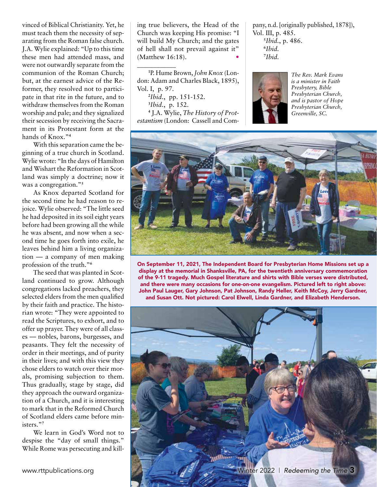vinced of Biblical Christianity. Yet, he must teach them the necessity of separating from the Roman false church. J.A. Wylie explained: "Up to this time these men had attended mass, and were not outwardly separate from the communion of the Roman Church; but, at the earnest advice of the Reformer, they resolved not to participate in that rite in the future, and to withdraw themselves from the Roman worship and pale; and they signalized their secession by receiving the Sacrament in its Protestant form at the hands of Knox."**<sup>4</sup>**

With this separation came the beginning of a true church in Scotland. Wylie wrote: "In the days of Hamilton and Wishart the Reformation in Scotland was simply a doctrine; now it was a congregation."**<sup>5</sup>**

As Knox departed Scotland for the second time he had reason to rejoice. Wylie observed: "The little seed he had deposited in its soil eight years before had been growing all the while he was absent, and now when a second time he goes forth into exile, he leaves behind him a living organization — a company of men making profession of the truth."**<sup>6</sup>**

The seed that was planted in Scotland continued to grow. Although congregations lacked preachers, they selected elders from the men qualified by their faith and practice. The historian wrote: "They were appointed to read the Scriptures, to exhort, and to offer up prayer. They were of all classes — nobles, barons, burgesses, and peasants. They felt the necessity of order in their meetings, and of purity in their lives; and with this view they chose elders to watch over their morals, promising subjection to them. Thus gradually, stage by stage, did they approach the outward organization of a Church, and it is interesting to mark that in the Reformed Church of Scotland elders came before ministers."**<sup>7</sup>**

We learn in God's Word not to despise the "day of small things." While Rome was persecuting and killing true believers, the Head of the Church was keeping His promise: "I will build My Church; and the gates of hell shall not prevail against it" (Matthew 16:18).

\_\_\_\_\_\_\_\_\_\_\_\_

**1** P. Hume Brown, *John Knox* (London: Adam and Charles Black, 1895), Vol. I, p. 97. **2** *Ibid.*, pp. 151-152. **3** *Ibid.*, p. 152. **4** J.A. Wylie, *The History of Protestantism* (London: Cassell and Company, n.d. [originally published, 1878]), Vol. III, p. 485. **5** *Ibid.*, p. 486.

**6** *Ibid.* **7** *Ibid.*



*The Rev. Mark Evans is a minister in Faith Presbytery, Bible Presbyterian Church, and is pastor of Hope Presbyterian Church, Greenville, SC.*



On September 11, 2021, The Independent Board for Presbyterian Home Missions set up a display at the memorial in Shanksville, PA, for the twentieth anniversary commemoration of the 9-11 tragedy. Much Gospel literature and shirts with Bible verses were distributed, and there were many occasions for one-on-one evangelism. Pictured left to right above: John Paul Lauger, Gary Johnson, Pat Johnson, Randy Heller, Keith McCoy, Jerry Gardner, and Susan Ott. Not pictured: Carol Elwell, Linda Gardner, and Elizabeth Henderson.

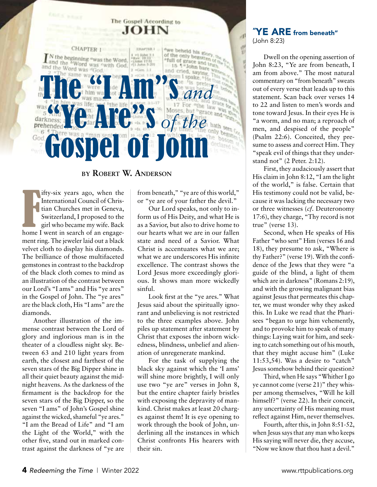

# **by Robert W. Anderson**

Ifty-six years ago, when the<br>International Council of Chris-<br>tian Churches met in Geneva,<br>Switzerland, I proposed to the<br>girl who became my wife. Back<br>home I went in search of an engageifty-six years ago, when the International Council of Christian Churches met in Geneva, Switzerland, I proposed to the girl who became my wife. Back ment ring. The jeweler laid out a black velvet cloth to display his diamonds. The brilliance of those multifaceted gemstones in contrast to the backdrop of the black cloth comes to mind as an illustration of the contrast between our Lord's "I ams" and His "ye ares" in the Gospel of John. The "ye ares" are the black cloth, His "I ams" are the diamonds.

Another illustration of the immense contrast between the Lord of glory and inglorious man is in the theater of a cloudless night sky. Between 63 and 210 light years from earth, the closest and farthest of the seven stars of the Big Dipper shine in all their quiet beauty against the midnight heavens. As the darkness of the firmament is the backdrop for the seven stars of the Big Dipper, so the seven "I ams" of John's Gospel shine against the wicked, shameful "ye ares." "I am the Bread of Life" and "I am the Light of the World," with the other five, stand out in marked contrast against the darkness of "ye are

from beneath," "ye are of this world," or "ye are of your father the devil."

Our Lord speaks, not only to inform us of His Deity, and what He is as a Savior, but also to drive home to our hearts what we are in our fallen state and need of a Savior. What Christ is accentuates what we are; what we are underscores His infinite excellence. The contrast shows the Lord Jesus more exceedingly glorious. It shows man more wickedly sinful.

Look first at the "ye ares." What Jesus said about the spiritually ignorant and unbelieving is not restricted to the three examples above. John piles up statement after statement by Christ that exposes the inborn wickedness, blindness, unbelief and alienation of unregenerate mankind.

For the task of supplying the black sky against which the 'I ams' will shine more brightly, I will only use two "ye are" verses in John 8, but the entire chapter fairly bristles with exposing the depravity of mankind. Christ makes at least 20 charges against them! It is eye opening to work through the book of John, underlining all the instances in which Christ confronts His hearers with their sin.

# "YE ARE from beneath" (John 8:23)

Dwell on the opening assertion of John 8:23, "Ye are from beneath, I am from above." The most natural commentary on "from beneath" sweats out of every verse that leads up to this statement. Scan back over verses 14 to 22 and listen to men's words and tone toward Jesus. In their eyes He is "a worm, and no man; a reproach of men, and despised of the people" (Psalm 22:6). Conceited, they presume to assess and correct Him. They "speak evil of things that they understand not" (2 Peter. 2:12).

First, they audaciously assert that His claim in John 8:12, "I am the light of the world," is false. Certain that His testimony could not be valid, because it was lacking the necessary two or three witnesses (*cf.* Deuteronomy 17:6), they charge, "Thy record is not true" (verse 13).

Second, when He speaks of His Father "who sent" Him (verses 16 and 18), they presume to ask, "Where is thy Father?" (verse 19). With the confidence of the Jews that they were "a guide of the blind, a light of them which are in darkness" (Romans 2:19), and with the growing malignant bias against Jesus that permeates this chapter, we must wonder why they asked this. In Luke we read that the Pharisees "began to urge him vehemently, and to provoke him to speak of many things: Laying wait for him, and seeking to catch something out of his mouth, that they might accuse him" (Luke 11:53,54). Was a desire to "catch" Jesus somehow behind their question?

Third, when He says "Whither I go ye cannot come (verse 21)" they whisper among themselves, "Will he kill himself?" (verse 22). In their conceit, any uncertainty of His meaning must reflect against Him, never themselves.

Fourth, after this, in John 8:51-52, when Jesus says that any man who keeps His saying will never die, they accuse, "Now we know that thou hast a devil."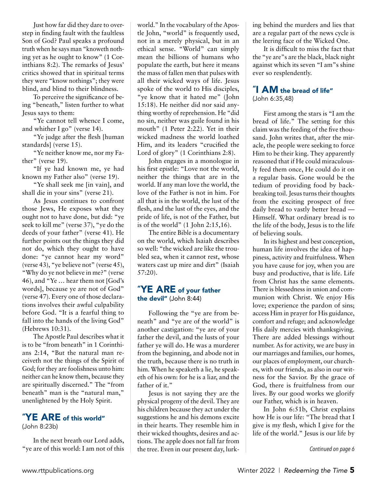Just how far did they dare to overstep in finding fault with the faultless Son of God? Paul speaks a profound truth when he says man "knoweth nothing yet as he ought to know" (1 Corinthians 8:2). The remarks of Jesus' critics showed that in spiritual terms they were "know nothings"; they were blind, and blind to their blindness.

To perceive the significance of being "beneath," listen further to what Jesus says to them:

"Ye cannot tell whence I come, and whither I go" (verse 14).

"Ye judge after the flesh [human standards] (verse 15).

"Ye neither know me, nor my Father" (verse 19).

"If ye had known me, ye had known my Father also" (verse 19).

"Ye shall seek me [in vain], and shall die in your sins" (verse 21).

As Jesus continues to confront those Jews, He exposes what they ought not to have done, but did: "ye seek to kill me" (verse 37), "ye do the deeds of your father" (verse 41). He further points out the things they did not do, which they ought to have done: "ye cannot hear my word" (verse 43), "ye believe not" (verse 45), "Why do ye not believe in me?" (verse 46), and "Ye … hear them not [God's words], because ye are not of God" (verse 47). Every one of those declarations involves their awful culpability before God. "It is a fearful thing to fall into the hands of the living God" (Hebrews 10:31).

The Apostle Paul describes what it is to be "from beneath" in 1 Corinthians 2:14, "But the natural man receiveth not the things of the Spirit of God; for they are foolishness unto him: neither can he know them, because they are spiritually discerned." The "from beneath" man is the "natural man," unenlightened by the Holy Spirit.

# "YE ARE of this world"

(John 8:23b)

In the next breath our Lord adds, "ye are of this world: I am not of this world." In the vocabulary of the Apostle John, "world" is frequently used, not in a merely physical, but in an ethical sense. "World" can simply mean the billions of humans who populate the earth, but here it means the mass of fallen men that pulses with all their wicked ways of life. Jesus spoke of the world to His disciples, "ye know that it hated me" (John 15:18). He neither did nor said anything worthy of reprehension. He "did no sin, neither was guile found in his mouth" (1 Peter 2:22). Yet in their wicked madness the world loathed Him, and its leaders "crucified the Lord of glory" (1 Corinthians 2:8).

John engages in a monologue in his first epistle: "Love not the world, neither the things that are in the world. If any man love the world, the love of the Father is not in him. For all that is in the world, the lust of the flesh, and the lust of the eyes, and the pride of life, is not of the Father, but is of the world" (1 John 2:15,16).

The entire Bible is a documentary on the world, which Isaiah describes so well: "the wicked are like the troubled sea, when it cannot rest, whose waters cast up mire and dirt" (Isaiah 57:20).

# "YE ARE of your father the devil" (John 8:44)

Following the "ye are from beneath" and "ye are of the world" is another castigation: "ye are of your father the devil, and the lusts of your father ye will do. He was a murderer from the beginning, and abode not in the truth, because there is no truth in him. When he speaketh a lie, he speaketh of his own: for he is a liar, and the father of it."

Jesus is not saying they are the physical progeny of the devil. They are his children because they act under the suggestions he and his demons excite in their hearts. They resemble him in their wicked thoughts, desires and actions. The apple does not fall far from the tree. Even in our present day, lurking behind the murders and lies that are a regular part of the news cycle is the leering face of the Wicked One.

It is difficult to miss the fact that the "ye are"s are the black, black night against which its seven "I am"s shine ever so resplendently.

#### "I AM the bread of life" (John 6:35,48)

First among the stars is "I am the bread of life." The setting for this claim was the feeding of the five thousand. John writes that, after the miracle, the people were seeking to force Him to be their king. They apparently reasoned that if He could miraculously feed them once, He could do it on a regular basis. Gone would be the tedium of providing food by backbreaking toil. Jesus turns their thoughts from the exciting prospect of free daily bread to vastly better bread — Himself. What ordinary bread is to the life of the body, Jesus is to the life of believing souls.

In its highest and best conception, human life involves the idea of happiness, activity and fruitfulness. When you have cause for joy, when you are busy and productive, that is life. Life from Christ has the same elements. There is blessedness in union and communion with Christ. We enjoy His love; experience the pardon of sins; access Him in prayer for His guidance, comfort and refuge; and acknowledge His daily mercies with thanksgiving. There are added blessings without number. As for activity, we are busy in our marriages and families, our homes, our places of employment, our churches, with our friends, as also in our witness for the Savior. By the grace of God, there is fruitfulness from our lives. By our good works we glorify our Father, which is in heaven.

In John 6:51b, Christ explains how He is our life: "The bread that I give is my flesh, which I give for the life of the world." Jesus is our life by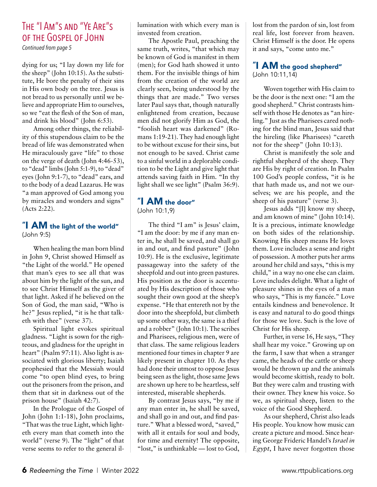# The "I Am"s and "Ye Are"s of the Gospel of John

*Continued from page 5*

dying for us; "I lay down my life for the sheep" (John 10:15). As the substitute, He bore the penalty of their sins in His own body on the tree. Jesus is not bread to us personally until we believe and appropriate Him to ourselves, so we "eat the flesh of the Son of man, and drink his blood" (John 6:53).

Among other things, the reliability of this stupendous claim to be the bread of life was demonstrated when He miraculously gave "life" to those on the verge of death (John 4:46-53), to "dead" limbs (John 5:1-9), to "dead" eyes (John 9:1-7), to "dead" ears, and to the body of a dead Lazarus. He was "a man approved of God among you by miracles and wonders and signs" (Acts 2:22).

# "I AM the light of the world" (John 9:5)

When healing the man born blind in John 9, Christ showed Himself as "the Light of the world." He opened that man's eyes to see all that was about him by the light of the sun, and to see Christ Himself as the giver of that light. Asked if he believed on the Son of God, the man said, "Who is he?" Jesus replied, "it is he that talketh with thee" (verse 37).

Spiritual light evokes spiritual gladness. "Light is sown for the righteous, and gladness for the upright in heart" (Psalm 97:11). Also light is associated with glorious liberty; Isaiah prophesied that the Messiah would come "to open blind eyes, to bring out the prisoners from the prison, and them that sit in darkness out of the prison house" (Isaiah 42:7).

In the Prologue of the Gospel of John (John 1:1-18), John proclaims, "That was the true Light, which lighteth every man that cometh into the world" (verse 9). The "light" of that verse seems to refer to the general illumination with which every man is invested from creation.

The Apostle Paul, preaching the same truth, writes, "that which may be known of God is manifest in them (men); for God hath showed it unto them. For the invisible things of him from the creation of the world are clearly seen, being understood by the things that are made." Two verses later Paul says that, though naturally enlightened from creation, because men did not glorify Him as God, the "foolish heart was darkened" (Romans 1:19-21). They had enough light to be without excuse for their sins, but not enough to be saved. Christ came to a sinful world in a deplorable condition to be the Light and give light that attends saving faith in Him. "In thy light shall we see light" (Psalm 36:9).

# "I AM the door" (John 10:1,9)

The third "I am" is Jesus' claim, "I am the door: by me if any man enter in, he shall be saved, and shall go in and out, and find pasture" (John 10:9). He is the exclusive, legitimate passageway into the safety of the sheepfold and out into green pastures. His position as the door is accentuated by His description of those who sought their own good at the sheep's expense. "He that entereth not by the door into the sheepfold, but climbeth up some other way, the same is a thief and a robber" (John 10:1). The scribes and Pharisees, religious men, were of that class. The same religious leaders mentioned four times in chapter 9 are likely present in chapter 10. As they had done their utmost to oppose Jesus being seen as the light, those same Jews are shown up here to be heartless, self interested, miserable shepherds.

By contrast Jesus says, "by me if any man enter in, he shall be saved, and shall go in and out, and find pasture." What a blessed word, "saved," with all it entails for soul and body, for time and eternity! The opposite, "lost," is unthinkable — lost to God, lost from the pardon of sin, lost from real life, lost forever from heaven. Christ Himself is the door. He opens it and says, "come unto me."

# "I AM the good shepherd" (John 10:11,14)

Woven together with His claim to be the door is the next one: "I am the good shepherd." Christ contrasts himself with those He denotes as "an hireling." Just as the Pharisees cared nothing for the blind man, Jesus said that the hireling (like Pharisees) "careth not for the sheep" (John 10:13).

Christ is manifestly the sole and rightful shepherd of the sheep. They are His by right of creation. In Psalm 100 God's people confess, "it is he that hath made us, and not we ourselves; we are his people, and the sheep of his pasture" (verse 3).

Jesus adds "[I] know my sheep, and am known of mine" (John 10:14). It is a precious, intimate knowledge on both sides of the relationship. Knowing His sheep means He loves them. Love includes a sense and right of possession. A mother puts her arms around her child and says, "this is my child," in a way no one else can claim. Love includes delight. What a light of pleasure shines in the eyes of a man who says, "This is my fiancée." Love entails kindness and benevolence. It is easy and natural to do good things for those we love. Such is the love of Christ for His sheep.

Further, in verse 16, He says, "They shall hear my voice." Growing up on the farm, I saw that when a stranger came, the heads of the cattle or sheep would be thrown up and the animals would become skittish, ready to bolt. But they were calm and trusting with their owner. They knew his voice. So we, as spiritual sheep, listen to the voice of the Good Shepherd.

As our shepherd, Christ also leads His people. You know how music can create a picture and mood. Since hearing George Frideric Handel's *Israel in Egypt*, I have never forgotten those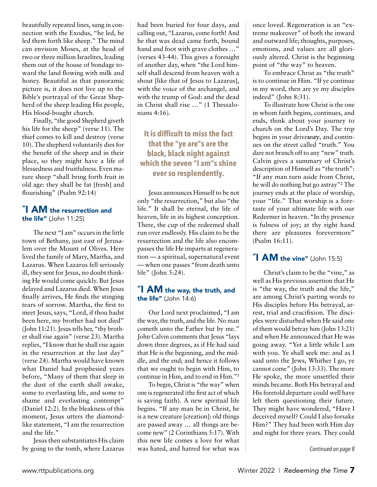beautifully repeated lines, sung in connection with the Exodus, "he led, he led them forth like sheep." The mind can envision Moses, at the head of two or three million Israelites, leading them out of the house of bondage toward the land flowing with milk and honey. Beautiful as that panoramic picture is, it does not live up to the Bible's portrayal of the Great Shepherd of the sheep leading His people, His blood-bought church.

Finally, "the good Shepherd giveth his life for the sheep" (verse 11). The thief comes to kill and destroy (verse 10). The shepherd voluntarily dies for the benefit of the sheep and in their place, so they might have a life of blessedness and fruitfulness. Even mature sheep "shall bring forth fruit in old age: they shall be fat [fresh] and flourishing" (Psalm 92:14)

# "I AM the resurrection and the life" (John 11:25)

The next "I am" occurs in the little town of Bethany, just east of Jerusalem over the Mount of Olives. Here lived the family of Mary, Martha, and Lazarus. When Lazarus fell seriously ill, they sent for Jesus, no doubt thinking He would come quickly. But Jesus delayed and Lazarus died. When Jesus finally arrives, He finds the stinging tears of sorrow. Martha, the first to meet Jesus, says, "Lord, if thou hadst been here, my brother had not died" (John 11:21). Jesus tells her, "thy brother shall rise again" (verse 23). Martha replies, "I know that he shall rise again in the resurrection at the last day" (verse 24). Martha would have known what Daniel had prophesied years before, "Many of them that sleep in the dust of the earth shall awake, some to everlasting life, and some to shame and everlasting contempt" (Daniel 12:2). In the bleakness of this moment, Jesus utters the diamondlike statement, "I am the resurrection and the life."

Jesus then substantiates His claim by going to the tomb, where Lazarus had been buried for four days, and calling out, "Lazarus, come forth! And he that was dead came forth, bound hand and foot with grave clothes …" (verses 43-44). This gives a foresight of another day, when "the Lord himself shall descend from heaven with a shout [like that of Jesus to Lazarus], with the voice of the archangel, and with the trump of God: and the dead in Christ shall rise …" (1 Thessalonians 4:16).

# **It is difficult to miss the fact that the "ye are"s are the black, black night against which the seven "I am"s shine ever so resplendently.**

Jesus announces Himself to be not only "the resurrection," but also "the life." It shall be eternal, the life of heaven, life in its highest conception. There, the cup of the redeemed shall run over endlessly. His claim to be the resurrection and the life also encompasses the life He imparts at regeneration — a spiritual, supernatural event — when one passes "from death unto life" (John 5:24).

# "I AM the way, the truth, and the life" (John 14:6)

Our Lord next proclaimed, "I am the way, the truth, and the life. No man cometh unto the Father but by me." John Calvin comments that Jesus "lays down three degrees, as if He had said that He is the beginning, and the middle, and the end; and hence it follows that we ought to begin with Him, to continue in Him, and to end in Him."**<sup>1</sup>**

To begin, Christ is "the way" when one is regenerated (the first act of which is saving faith). A new spiritual life begins. "If any man be in Christ, he is a new creature [creation]: old things are passed away … all things are become new" (2 Corinthians 5:17). With this new life comes a love for what was hated, and hatred for what was once loved. Regeneration is an "extreme makeover" of both the inward and outward life; thoughts, purposes, emotions, and values are all gloriously altered. Christ is the beginning point of "the way" to heaven.

To embrace Christ as "the truth" is to continue in Him. "If ye continue in my word, then are ye my disciples indeed" (John 8:31).

To illustrate how Christ is the one in whom faith begins, continues, and ends, think about your journey to church on the Lord's Day. The trip begins in your drive*way*, and continues on the street called "truth." You dare not branch off to any "new" truth. Calvin gives a summary of Christ's description of Himself as "the truth": "If any man turn aside from Christ, he will do nothing but go astray"**<sup>2</sup>** The journey ends at the place of worship, your "life." That worship is a foretaste of your ultimate life with our Redeemer in heaven. "In thy presence is fulness of joy; at thy right hand there are pleasures forevermore" (Psalm 16:11).

# " $\blacksquare$  AM the vine" (John 15:5)

Christ's claim to be the "vine," as well as His previous assertion that He is "the way, the truth and the life," are among Christ's parting words to His disciples before His betrayal, arrest, trial and crucifixion. The disciples were disturbed when He said one of them would betray him (John 13:21) and when He announced that He was going away. "Yet a little while I am with you. Ye shall seek me: and as I said unto the Jews, Whither I go, ye cannot come" (John 13:33). The more He spoke, the more unsettled their minds became. Both His betrayal and His foretold departure could well have left them questioning their future. They might have wondered, "Have I deceived myself? Could I also forsake Him?" They had been with Him day and night for three years. They could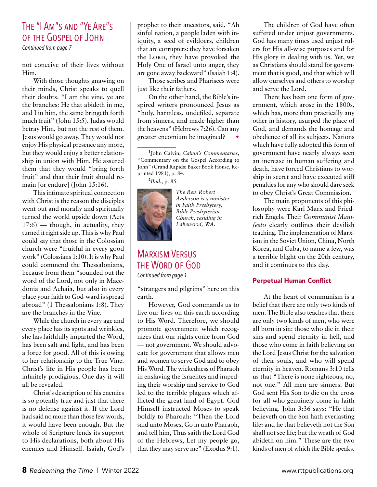# The "I Am"s and "Ye Are"s of the Gospel of John

*Continued from page 7*

not conceive of their lives without Him.

With those thoughts gnawing on their minds, Christ speaks to quell their doubts. "I am the vine, ye are the branches: He that abideth in me, and I in him, the same bringeth forth much fruit" (John 15:5). Judas would betray Him, but not the rest of them. Jesus would go away. They would not enjoy His physical presence any more, but they would enjoy a better relationship in union with Him. He assured them that they would "bring forth fruit" and that their fruit should remain [or endure] (John 15:16).

This intimate spiritual connection with Christ is the reason the disciples went out and morally and spiritually turned the world upside down (Acts  $17:6$  — though, in actuality, they turned it right side up. This is why Paul could say that those in the Colossian church were "fruitful in every good work" (Colossians 1:10). It is why Paul could commend the Thessalonians, because from them "sounded out the word of the Lord, not only in Macedonia and Achaia, but also in every place your faith to God-ward is spread abroad" (1 Thessalonians 1:8). They are the branches in the Vine.

While the church in every age and every place has its spots and wrinkles, she has faithfully imparted the Word, has been salt and light, and has been a force for good. All of this is owing to her relationship to the True Vine. Christ's life in His people has been infinitely prodigious. One day it will all be revealed.

Christ's description of his enemies is so potently true and just that there is no defense against it. If the Lord had said no more than those few words, it would have been enough. But the whole of Scripture lends its support to His declarations, both about His enemies and Himself. Isaiah, God's

prophet to their ancestors, said, "Ah sinful nation, a people laden with iniquity, a seed of evildoers, children that are corrupters: they have forsaken the LORD, they have provoked the Holy One of Israel unto anger, they are gone away backward" (Isaiah 1:4).

Those scribes and Pharisees were just like their fathers.

On the other hand, the Bible's inspired writers pronounced Jesus as "holy, harmless, undefiled, separate from sinners, and made higher than the heavens" (Hebrews 7:26). Can any greater encomium be imagined? •

**2** *Ibid.*, p. 85.

\_\_\_\_\_\_\_\_\_\_\_\_



*The Rev. Robert Anderson is a minister in Faith Presbytery, Bible Presbyterian Church, residing in Lakewood, WA.*

# Marxism Versus the Word of God *Continued from page 1*

"strangers and pilgrims" here on this earth.

However, God commands us to live our lives on this earth according to His Word. Therefore, we should promote government which recognizes that our rights come from God — not government. We should advocate for government that allows men and women to serve God and to obey His Word. The wickedness of Pharaoh in enslaving the Israelites and impeding their worship and service to God led to the terrible plagues which afflicted the great land of Egypt. God Himself instructed Moses to speak boldly to Pharoah: "Then the Lord said unto Moses, Go in unto Pharaoh, and tell him, Thus saith the Lord God of the Hebrews, Let my people go, that they may serve me" (Exodus 9:1).

The children of God have often suffered under unjust governments. God has many times used unjust rulers for His all-wise purposes and for His glory in dealing with us. Yet, we as Christians should stand for government that is good, and that which will allow ourselves and others to worship and serve the Lord.

There has been one form of government, which arose in the 1800s, which has, more than practically any other in history, usurped the place of God, and demands the homage and obedience of all its subjects. Nations which have fully adopted this form of government have nearly always seen an increase in human suffering and death, have forced Christians to worship in secret and have executed stiff penalties for any who should dare seek to obey Christ's Great Commission.

The main proponents of this philosophy were Karl Marx and Friedrich Engels. Their *Communist Manifesto* clearly outlines their devilish teaching. The implemenation of Marxism in the Soviet Union, China, North Korea, and Cuba, to name a few, was a terrible blight on the 20th century, and it continues to this day.

#### Perpetual Human Conflict

At the heart of communism is a belief that there are only two kinds of men. The Bible also teaches that there are only two kinds of men, who were all born in sin: those who die in their sins and spend eternity in hell, and those who come in faith believing on the Lord Jesus Christ for the salvation of their souls, and who will spend eternity in heaven. Romans 3:10 tells us that "There is none righteous, no, not one." All men are sinners. But God sent His Son to die on the cross for all who genuinely come in faith believing. John 3:36 says: "He that believeth on the Son hath everlasting life: and he that believeth not the Son shall not see life; but the wrath of God abideth on him." These are the two kinds of men of which the Bible speaks.

**<sup>1</sup>** John Calvin, *Calvin's Commentaries*, "Commentary on the Gospel According to John" (Grand Rapids: Baker Book House, Reprinted 1981), p. 84.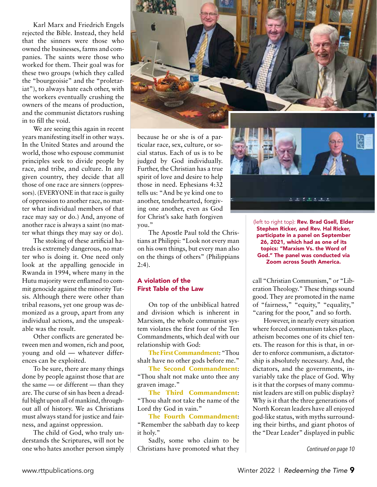Karl Marx and Friedrich Engels rejected the Bible. Instead, they held that the sinners were those who owned the businesses, farms and companies. The saints were those who worked for them. Their goal was for these two groups (which they called the "bourgeoisie" and the "proletariat"), to always hate each other, with the workers eventually crushing the owners of the means of production, and the communist dictators rushing in to fill the void.

We are seeing this again in recent years manifesting itself in other ways. In the United States and around the world, those who espouse communist principles seek to divide people by race, and tribe, and culture. In any given country, they decide that all those of one race are sinners (oppressors). (EVERYONE in that race is guilty of oppression to another race, no matter what individual members of that race may say or do.) And, anyone of another race is always a saint (no matter what things they may say or do).

The stoking of these artificial hatreds is extremely dangerous, no matter who is doing it. One need only look at the appalling genocide in Rwanda in 1994, where many in the Hutu majority were enflamed to commit genocide against the minority Tutsis. Although there were other than tribal reasons, yet one group was demonized as a group, apart from any individual actions, and the unspeakable was the result.

Other conflicts are generated between men and women, rich and poor, young and old — whatever differences can be exploited.

To be sure, there are many things done by people against those that are the same — or different — than they are. The curse of sin has been a dreadful blight upon all of mankind, throughout all of history. We as Christians must always stand for justice and fairness, and against oppression.

The child of God, who truly understands the Scriptures, will not be one who hates another person simply because he or she is of a particular race, sex, culture, or social status. Each of us is to be judged by God individually. Further, the Christian has a true spirit of love and desire to help those in need. Ephesians 4:32 tells us: "And be ye kind one to another, tenderhearted, forgiving one another, even as God for Christ's sake hath forgiven you."

上に注上する

The Apostle Paul told the Christians at Philippi: "Look not every man on his own things, but every man also on the things of others" (Philippians  $2:4$ ).

#### A violation of the First Table of the Law

On top of the unbiblical hatred and division which is inherent in Marxism, the whole communist system violates the first four of the Ten Commandments, which deal with our relationship with God:

**The First Commandment**: "Thou shalt have no other gods before me."

**The Second Commandment**: "Thou shalt not make unto thee any graven image."

**The Third Commandment**: "Thou shalt not take the name of the Lord thy God in vain."

**The Fourth Commandment**: "Remember the sabbath day to keep it holy."

Sadly, some who claim to be Christians have promoted what they (left to right top): Rev. Brad Gsell, Elder Stephen Ricker, and Rev. Hal Ricker, participate in a panel on September 26, 2021, which had as one of its topics: "Marxism Vs. the Word of God." The panel was conducted via Zoom across South America.

call "Christian Communism," or "Liberation Theology." These things sound good. They are promoted in the name of "fairness," "equity," "equality," "caring for the poor," and so forth.

However, in nearly every situation where forced communism takes place, atheism becomes one of its chief tenets. The reason for this is that, in order to enforce communism, a dictatorship is absolutely necessary. And, the dictators, and the governments, invariably take the place of God. Why is it that the corpses of many communist leaders are still on public display? Why is it that the three generations of North Korean leaders have all enjoyed god-like status, with myths surrounding their births, and giant photos of the "Dear Leader" displayed in public

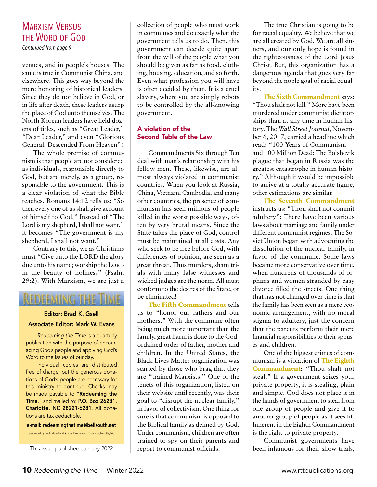# Marxism Versus the Word of God

*Continued from page 9*

venues, and in people's houses. The same is true in Communist China, and elsewhere. This goes way beyond the mere honoring of historical leaders. Since they do not believe in God, or in life after death, these leaders usurp the place of God unto themselves. The North Korean leaders have held dozens of titles, such as "Great Leader," "Dear Leader," and even "Glorious General, Descended From Heaven"!

The whole premise of communism is that people are not considered as individuals, responsible directly to God, but are merely, as a group, responsible to the government. This is a clear violation of what the Bible teaches. Romans 14:12 tells us: "So then every one of us shall give account of himself to God." Instead of "The Lord is my shepherd, I shall not want," it becomes "The government is my shepherd, I shall not want."

Contrary to this, we as Christians must "Give unto the LORD the glory due unto his name; worship the LORD in the beauty of holiness" (Psalm 29:2). With Marxism, we are just a

# *<u><b>ALEDIEEMING THIE</u>*

# Editor: Brad K. Gsell Associate Editor: Mark W. Evans

*Redeeming the Time* is a quarterly publication with the purpose of encouraging God's people and applying God's Word to the issues of our day.

Individual copies are distributed free of charge, but the generous donations of God's people are necessary for this ministry to continue. Checks may be made payable to "Redeeming the Time," and mailed to: P.O. Box 26281, Charlotte, NC 28221-6281. All donations are tax deductible.

e-mail: redeemingthetime@bellsouth.net

Sponsored by Publication Fund • Bible Presbyterian Church • Charlotte, NC

This issue published January 2022

collection of people who must work in communes and do exactly what the government tells us to do. Then, this government can decide quite apart from the will of the people what you should be given as far as food, clothing, housing, education, and so forth. Even what profession you will have is often decided by them. It is a cruel slavery, where you are simply robots to be controlled by the all-knowing government.

#### A violation of the Second Table of the Law

Commandments Six through Ten deal with man's relationship with his fellow men. These, likewise, are almost always violated in communist countries. When you look at Russia, China, Vietnam, Cambodia, and many other countries, the presence of communism has seen millions of people killed in the worst possible ways, often by very brutal means. Since the State takes the place of God, control must be maintained at all costs. Any who seek to be free before God, with differences of opinion, are seen as a great threat. Thus murders, sham trials with many false witnesses and wicked judges are the norm. All must conform to the desires of the State, or be eliminated!

**The Fifth Commandment** tells us to "honor our fathers and our mothers." With the commune often being much more important than the family, great harm is done to the Godordained order of father, mother and children. In the United States, the Black Lives Matter organization was started by those who brag that they are "trained Marxists." One of the tenets of this organization, listed on their website until recently, was their goal to "disrupt the nuclear family," in favor of collectivism. One thing for sure is that communism is opposed to the Biblical family as defined by God. Under communism, children are often trained to spy on their parents and report to communist officials.

The true Christian is going to be for racial equality. We believe that we are all created by God. We are all sinners, and our only hope is found in the righteousness of the Lord Jesus Christ. But, this organization has a dangerous agenda that goes very far beyond the noble goal of racial equality.

**The Sixth Commandment** says: "Thou shalt not kill." More have been murdered under communist dictatorships than at any time in human history. The *Wall Street Journal*, November 6, 2017, carried a headline which read: "100 Years of Communism and 100 Million Dead: The Bolshevik plague that began in Russia was the greatest catastrophe in human history." Although it would be impossible to arrive at a totally accurate figure, other estimations are similar.

**The Seventh Commandment** instructs us: "Thou shalt not commit adultery": There have been various laws about marriage and family under different communist regimes. The Soviet Union began with advocating the dissolution of the nuclear family, in favor of the commune. Some laws became more conservative over time, when hundreds of thousands of orphans and women stranded by easy divorce filled the streets. One thing that has not changed over time is that the family has been seen as a mere economic arrangement, with no moral stigma to adultery, just the concern that the parents perform their mere financial responsibilities to their spouses and children.

One of the biggest crimes of communism is a violation of **The Eighth Commandment**: "Thou shalt not steal." If a government seizes your private property, it is stealing, plain and simple. God does not place it in the hands of government to steal from one group of people and give it to another group of people as it sees fit. Inherent in the Eighth Commandment is the right to private property.

Communist governments have been infamous for their show trials,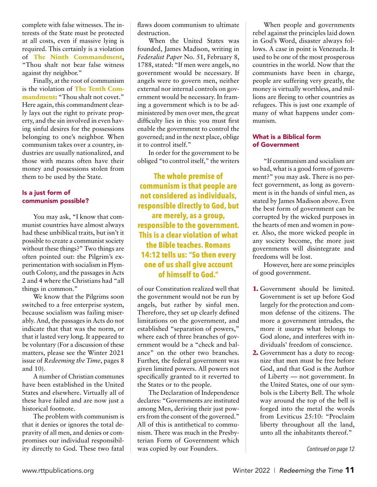complete with false witnesses. The interests of the State must be protected at all costs, even if massive lying is required. This certainly is a violation of **The Ninth Commandment**, "Thou shalt not bear false witness against thy neighbor."

Finally, at the root of communism is the violation of **The Tenth Commandment**: "Thou shalt not covet." Here again, this commandment clearly lays out the right to private property, and the sin involved in even having sinful desires for the possessions belonging to one's neighbor. When communism takes over a country, industries are usually nationalized, and those with means often have their money and possessions stolen from them to be used by the State.

#### Is a just form of communism possible?

You may ask, "I know that communist countries have almost always had these unbiblical traits, but isn't it possible to create a communist society without these things?" Two things are often pointed out: the Pilgrim's experimentation with socialism in Plymouth Colony, and the passages in Acts 2 and 4 where the Christians had "all things in common."

We know that the Pilgrims soon switched to a free enterprise system, because socialism was failing miserably. And, the passages in Acts do not indicate that that was the norm, or that it lasted very long. It appeared to be voluntary (For a discussion of these matters, please see the Winter 2021 issue of *Redeeming the Time*, pages 8 and 10).

A number of Christian communes have been established in the United States and elsewhere. Virtually all of these have failed and are now just a historical footnote.

The problem with communism is that it denies or ignores the total depravity of all men, and denies or compromises our individual responsibility directly to God. These two fatal flaws doom communism to ultimate destruction.

When the United States was founded, James Madison, writing in *Federalist Paper* No. 51, February 8, 1788, stated: "If men were angels, no government would be necessary. If angels were to govern men, neither external nor internal controls on government would be necessary. In framing a government which is to be administered by men over men, the great difficulty lies in this: you must first enable the government to control the governed; and in the next place, oblige it to control itself."

In order for the government to be obliged "to control itself," the writers

**The whole premise of communism is that people are not considered as individuals, responsible directly to God, but are merely, as a group, responsible to the government. This is a clear violation of what the Bible teaches. Romans 14:12 tells us: "So then every one of us shall give account of himself to God."**

of our Constitution realized well that the government would not be run by angels, but rather by sinful men. Therefore, they set up clearly defined limitations on the government, and established "separation of powers," where each of three branches of government would be a "check and balance" on the other two branches. Further, the federal government was given limited powers. All powers not specifically granted to it reverted to the States or to the people.

The Declaration of Independence declares: "Governments are instituted among Men, deriving their just powers from the consent of the governed." All of this is antithetical to communism. There was much in the Presbyterian Form of Government which was copied by our Founders.

When people and governments rebel against the principles laid down in God's Word, disaster always follows. A case in point is Venezuela. It used to be one of the most prosperous countries in the world. Now that the communists have been in charge, people are suffering very greatly, the money is virtually worthless, and millions are fleeing to other countries as refugees. This is just one example of many of what happens under communism.

#### What is a Biblical form of Government

"If communism and socialism are so bad, what is a good form of government?" you may ask. There is no perfect government, as long as government is in the hands of sinful men, as stated by James Madison above. Even the best form of government can be corrupted by the wicked purposes in the hearts of men and women in power. Also, the more wicked people in any society become, the more just governments will disintegrate and freedoms will be lost.

However, here are some principles of good government.

- **1.** Government should be limited. Government is set up before God largely for the protection and common defense of the citizens. The more a government intrudes, the more it usurps what belongs to God alone, and interferes with individuals' freedom of conscience.
- **2.** Government has a duty to recognize that men must be free before God, and that God is the Author of Liberty — not government. In the United States, one of our symbols is the Liberty Bell. The whole way around the top of the bell is forged into the metal the words from Leviticus 25:10: "Proclaim liberty throughout all the land, unto all the inhabitants thereof."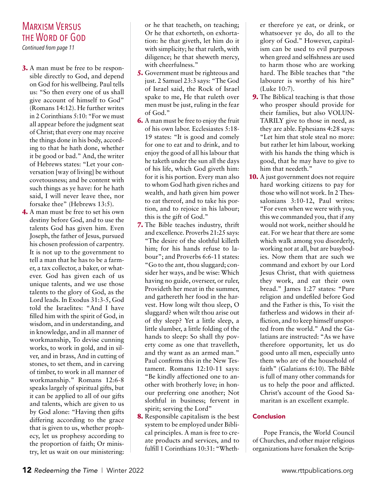# Marxism Versus the Word of God

*Continued from page 11*

- **3.** A man must be free to be responsible directly to God, and depend on God for his wellbeing. Paul tells us: "So then every one of us shall give account of himself to God" (Romans 14:12). He further writes in 2 Corinthians 5:10: "For we must all appear before the judgment seat of Christ; that every one may receive the things done in his body, according to that he hath done, whether it be good or bad." And, the writer of Hebrews states: "Let your conversation [way of living] be without covetousness; and be content with such things as ye have: for he hath said, I will never leave thee, nor forsake thee" (Hebrews 13:5).
- **4.** A man must be free to set his own destiny before God, and to use the talents God has given him. Even Joseph, the father of Jesus, pursued his chosen profession of carpentry. It is not up to the government to tell a man that he has to be a farmer, a tax collector, a baker, or whatever. God has given each of us unique talents, and we use those talents to the glory of God, as the Lord leads. In Exodus 31:3-5, God told the Israelites: "And I have filled him with the spirit of God, in wisdom, and in understanding, and in knowledge, and in all manner of workmanship, To devise cunning works, to work in gold, and in silver, and in brass, And in cutting of stones, to set them, and in carving of timber, to work in all manner of workmanship." Romans 12:6-8 speaks largely of spiritual gifts, but it can be applied to all of our gifts and talents, which are given to us by God alone: "Having then gifts differing according to the grace that is given to us, whether prophecy, let us prophesy according to the proportion of faith; Or ministry, let us wait on our ministering:

or he that teacheth, on teaching; Or he that exhorteth, on exhortation: he that giveth, let him do it with simplicity; he that ruleth, with diligence; he that sheweth mercy, with cheerfulness."

- **5.** Government must be righteous and just. 2 Samuel 23:3 says: "The God of Israel said, the Rock of Israel spake to me, He that ruleth over men must be just, ruling in the fear of God."
- **6.** A man must be free to enjoy the fruit of his own labor. Ecclesiastes 5:18-19 states: "It is good and comely for one to eat and to drink, and to enjoy the good of all his labour that he taketh under the sun all the days of his life, which God giveth him: for it is his portion. Every man also to whom God hath given riches and wealth, and hath given him power to eat thereof, and to take his portion, and to rejoice in his labour; this is the gift of God."
- **7.** The Bible teaches industry, thrift and excellence. Proverbs 21:25 says: "The desire of the slothful killeth him; for his hands refuse to labour"; and Proverbs 6:6-11 states: "Go to the ant, thou sluggard; consider her ways, and be wise: Which having no guide, overseer, or ruler, Provideth her meat in the summer, and gathereth her food in the harvest. How long wilt thou sleep, O sluggard? when wilt thou arise out of thy sleep? Yet a little sleep, a little slumber, a little folding of the hands to sleep: So shall thy poverty come as one that travelleth, and thy want as an armed man." Paul confirms this in the New Testament. Romans 12:10-11 says: "Be kindly affectioned one to another with brotherly love; in honour preferring one another; Not slothful in business; fervent in spirit; serving the Lord"
- **8.** Responsible capitalism is the best system to be employed under Biblical principles. A man is free to create products and services, and to fulfill 1 Corinthians 10:31: "Wheth-

er therefore ye eat, or drink, or whatsoever ye do, do all to the glory of God." However, capitalism can be used to evil purposes when greed and selfishness are used to harm those who are working hard. The Bible teaches that "the labourer is worthy of his hire" (Luke 10:7).

- **9.** The Biblical teaching is that those who prosper should provide for their families, but also VOLUN-TARILY give to those in need, as they are able. Ephesians 4:28 says: "Let him that stole steal no more: but rather let him labour, working with his hands the thing which is good, that he may have to give to him that needeth."
- **0.** A just government does not require **10.**hard working citizens to pay for those who will not work. In 2 Thessalonians 3:10-12, Paul writes: "For even when we were with you, this we commanded you, that if any would not work, neither should he eat. For we hear that there are some which walk among you disorderly, working not at all, but are busybodies. Now them that are such we command and exhort by our Lord Jesus Christ, that with quietness they work, and eat their own bread." James 1:27 states: "Pure religion and undefiled before God and the Father is this, To visit the fatherless and widows in their affliction, and to keep himself unspotted from the world." And the Galatians are instructed: "As we have therefore opportunity, let us do good unto all men, especially unto them who are of the household of faith" (Galatians 6:10). The Bible is full of many other commands for us to help the poor and afflicted. Christ's account of the Good Samaritan is an excellent example.

# Conclusion

Pope Francis, the World Council of Churches, and other major religious organizations have forsaken the Scrip-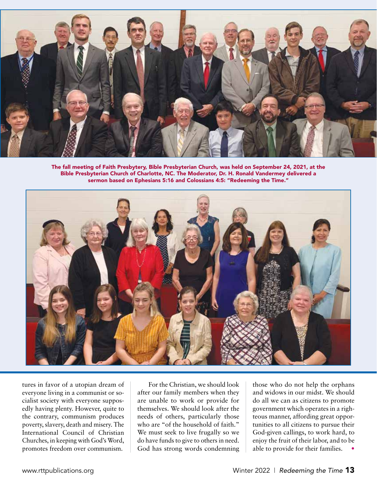

The fall meeting of Faith Presbytery, Bible Presbyterian Church, was held on September 24, 2021, at the Bible Presbyterian Church of Charlotte, NC. The Moderator, Dr. H. Ronald Vandermey delivered a sermon based on Ephesians 5:16 and Colossians 4:5: "Redeeming the Time."



tures in favor of a utopian dream of everyone living in a communist or socialist society with everyone supposedly having plenty. However, quite to the contrary, communism produces poverty, slavery, death and misery. The International Council of Christian Churches, in keeping with God's Word, promotes freedom over communism.

For the Christian, we should look after our family members when they are unable to work or provide for themselves. We should look after the needs of others, particularly those who are "of the household of faith." We must seek to live frugally so we do have funds to give to others in need. God has strong words condemning those who do not help the orphans and widows in our midst. We should do all we can as citizens to promote government which operates in a righteous manner, affording great opportunities to all citizens to pursue their God-given callings, to work hard, to enjoy the fruit of their labor, and to be able to provide for their families. •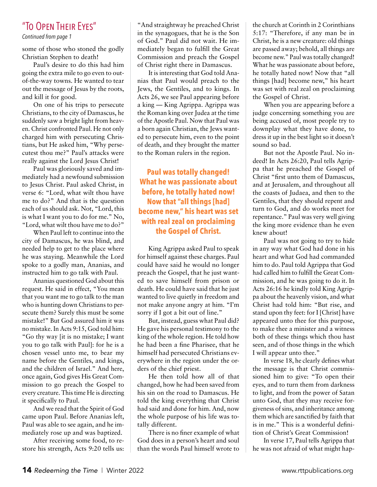# "To Open Their Eyes"

*Continued from page 1*

some of those who stoned the godly Christian Stephen to death!

Paul's desire to do this had him going the extra mile to go even to outof-the-way towns. He wanted to tear out the message of Jesus by the roots, and kill it for good.

On one of his trips to persecute Christians, to the city of Damascus, he suddenly saw a bright light from heaven. Christ confronted Paul. He not only charged him with persecuting Christians, but He asked him, "Why persecutest thou me?" Paul's attacks were really against the Lord Jesus Christ!

Paul was gloriously saved and immediately had a newfound submission to Jesus Christ. Paul asked Christ, in verse 6: "Lord, what wilt thou have me to do?" And that is the question each of us should ask. Not, "Lord, this is what I want you to do for me." No, "Lord, what wilt thou have me to do?"

When Paul left to continue into the city of Damascus, he was blind, and needed help to get to the place where he was staying. Meanwhile the Lord spoke to a godly man, Ananias, and instructed him to go talk with Paul.

Ananias questioned God about this request. He said in effect, "You mean that you want me to go talk to the man who is hunting down Christians to persecute them? Surely this must be some mistake!" But God assured him it was no mistake. In Acts 9:15, God told him: "Go thy way [it is no mistake; I want you to go talk with Paul]: for he is a chosen vessel unto me, to bear my name before the Gentiles, and kings, and the children of Israel." And here, once again, God gives His Great Commission to go preach the Gospel to every creature. This time He is directing it specifically to Paul.

And we read that the Spirit of God came upon Paul. Before Ananias left, Paul was able to see again, and he immediately rose up and was baptized.

After receiving some food, to restore his strength, Acts 9:20 tells us: "And straightway he preached Christ in the synagogues, that he is the Son of God." Paul did not wait. He immediately began to fulfill the Great Commission and preach the Gospel of Christ right there in Damascus.

It is interesting that God told Ananias that Paul would preach to the Jews, the Gentiles, and to kings. In Acts 26, we see Paul appearing before a king — King Agrippa. Agrippa was the Roman king over Judea at the time of the Apostle Paul. Now that Paul was a born again Christian, the Jews wanted to persecute him, even to the point of death, and they brought the matter to the Roman rulers in the region.

**Paul was totally changed! What he was passionate about before, he totally hated now! Now that "all things [had] become new," his heart was set with real zeal on proclaiming the Gospel of Christ.** 

King Agrippa asked Paul to speak for himself against these charges. Paul could have said he would no longer preach the Gospel, that he just wanted to save himself from prison or death. He could have said that he just wanted to live quietly in freedom and not make anyone angry at him. "I'm sorry if I got a bit out of line."

But, instead, guess what Paul did? He gave his personal testimony to the king of the whole region. He told how he had been a fine Pharisee, that he himself had persecuted Christians everywhere in the region under the orders of the chief priest.

He then told how all of that changed, how he had been saved from his sin on the road to Damascus. He told the king everything that Christ had said and done for him. And, now the whole purpose of his life was totally different.

There is no finer example of what God does in a person's heart and soul than the words Paul himself wrote to the church at Corinth in 2 Corinthians 5:17: "Therefore, if any man be in Christ, he is a new creature: old things are passed away; behold, all things are become new." Paul was totally changed! What he was passionate about before, he totally hated now! Now that "all things [had] become new," his heart was set with real zeal on proclaiming the Gospel of Christ.

When you are appearing before a judge concerning something you are being accused of, most people try to downplay what they have done, to dress it up in the best light so it doesn't sound so bad.

But not the Apostle Paul. No indeed! In Acts 26:20, Paul tells Agrippa that he preached the Gospel of Christ "first unto them of Damascus, and at Jerusalem, and throughout all the coasts of Judaea, and then to the Gentiles, that they should repent and turn to God, and do works meet for repentance." Paul was very well giving the king more evidence than he even knew about!

Paul was not going to try to hide in any way what God had done in his heart and what God had commanded him to do. Paul told Agrippa that God had called him to fulfill the Great Commission, and he was going to do it. In Acts 26:16 he kindly told King Agrippa about the heavenly vision, and what Christ had told him: "But rise, and stand upon thy feet: for I [Christ] have appeared unto thee for this purpose, to make thee a minister and a witness both of these things which thou hast seen, and of those things in the which I will appear unto thee."

In verse 18, he clearly defines what the message is that Christ commissioned him to give: "To open their eyes, and to turn them from darkness to light, and from the power of Satan unto God, that they may receive forgiveness of sins, and inheritance among them which are sanctified by faith that is in me." This is a wonderful definition of Christ's Great Commission!

In verse 17, Paul tells Agrippa that he was not afraid of what might hap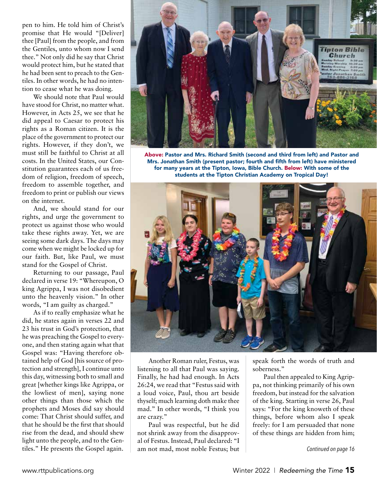pen to him. He told him of Christ's promise that He would "[Deliver] thee [Paul] from the people, and from the Gentiles, unto whom now I send thee." Not only did he say that Christ would protect him, but he stated that he had been sent to preach to the Gentiles. In other words, he had no intention to cease what he was doing.

We should note that Paul would have stood for Christ, no matter what. However, in Acts 25, we see that he did appeal to Caesar to protect his rights as a Roman citizen. It is the place of the government to protect our rights. However, if they don't, we must still be faithful to Christ at all costs. In the United States, our Constitution guarantees each of us freedom of religion, freedom of speech, freedom to assemble together, and freedom to print or publish our views on the internet.

And, we should stand for our rights, and urge the government to protect us against those who would take these rights away. Yet, we are seeing some dark days. The days may come when we might be locked up for our faith. But, like Paul, we must stand for the Gospel of Christ.

Returning to our passage, Paul declared in verse 19: "Whereupon, O king Agrippa, I was not disobedient unto the heavenly vision." In other words, "I am guilty as charged."

As if to really emphasize what he did, he states again in verses 22 and 23 his trust in God's protection, that he was preaching the Gospel to everyone, and then stating again what that Gospel was: "Having therefore obtained help of God [his source of protection and strength], I continue unto this day, witnessing both to small and great [whether kings like Agrippa, or the lowliest of men], saying none other things than those which the prophets and Moses did say should come: That Christ should suffer, and that he should be the first that should rise from the dead, and should shew light unto the people, and to the Gentiles." He presents the Gospel again.



Above: Pastor and Mrs. Richard Smith (second and third from left) and Pastor and Mrs. Jonathan Smith (present pastor; fourth and fifth from left) have ministered for many years at the Tipton, Iowa, Bible Church. Below: With some of the students at the Tipton Christian Academy on Tropical Day!



Another Roman ruler, Festus, was listening to all that Paul was saying. Finally, he had had enough. In Acts 26:24, we read that "Festus said with a loud voice, Paul, thou art beside thyself; much learning doth make thee mad." In other words, "I think you are crazy."

Paul was respectful, but he did not shrink away from the disapproval of Festus. Instead, Paul declared: "I am not mad, most noble Festus; but speak forth the words of truth and soberness."

Paul then appealed to King Agrippa, not thinking primarily of his own freedom, but instead for the salvation of the king. Starting in verse 26, Paul says: "For the king knoweth of these things, before whom also I speak freely: for I am persuaded that none of these things are hidden from him;